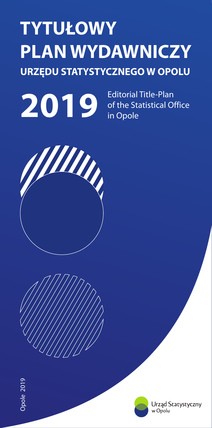# **TYTU£OWY PLAN WYDAWNICZY URZÊDU STATYSTYCZNEGO W OPOLU**



Editorial Title-Plan of the Statistical Office in Opole









Urząd Statystyczny w Opolu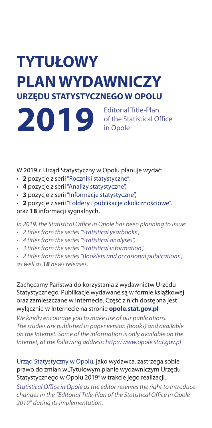## **TYTU£OWY PLAN WYDAWNICZY URZÊDU STATYSTYCZNEGO W OPOLU**

Editorial Title-Plan of the Statistical Office in Opole **2019**

W 2019 r. Urząd Statystyczny w Opolu planuje wydać:

- 2 pozycje z serii "Roczniki statystyczne",
- **2** pozycje z serii "Roczniki statystyczne",<br>• **4** pozycje z serii "Analizy statystyczne",
- **3** pozycje z serii "Informacje statystyczne",
- **3** pozycje z serii "Informacje statystyczne",<br>• **2** pozycje z serii "Foldery i publikacje okolicznościowe",

oraz **18** informacji sygnalnych.

*In 2019, the Statistical Office in Opole has been planning to issue:*

- **•** 2 titles from the series "Statistical yearbooks",
- *• 4 titles from the series ,*
- **•** *3 titles from the series "Statistical information",*

• 2 titles from the series "Statistical yearbooks",<br>• 4 titles from the series "Statistical analyses",<br>• 3 titles from the series "Statistical information",<br>• 2 titles from the series "Booklets and occasional publi *as well as 18 news releases.*

Zachęcamy Państwa do korzystania z wydawnictw Urzędu Statystycznego. Publikacje wydawane są w formie książkowej oraz zamieszczane w Internecie. Część z nich dostępna jest wyłącznie w Internecie na stronie **opole.stat.gov.pl** 

*We kindly encourage you to make use of our publications. The studies are published in paper version (books) and available on the Internet. Some of the information is only available on the Internet, at the following address: http://www.opole.stat.gov.pl*

## Urząd Statystyczny w Opolu, jako wydawca, zastrzega sobie prawo do zmian w "Tytułowym planie wydawniczym Urzędu Statystycznego w Opolu 2019" w trakcie jego realizacji.

*Statistical Office in Opole as the editor reserves the right to introduce changes in the "Editorial Title-Plan of the Statistical Office in Opole 2019" during its implementation.*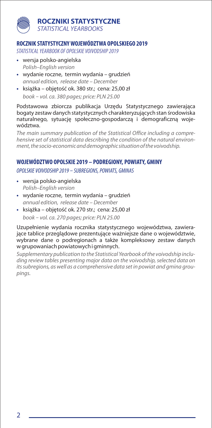#### **ROCZNIKI STATYSTYCZNE** *STATISTICAL YEARBOOKS*

#### **ROCZNIK STATYSTYCZNY WOJEWÓDZTWA OPOLSKIEGO 2019**

*STATISTICAL YEARBOOK OF OPOLSKIE VOIVODSHIP 2019*

- **•** wersja polsko-angielska *Polish–English version*
- **•** wydanie roczne, termin wydania grudzieñ *annual edition, release date – December*
- książka objętość ok. 380 str.; cena: 25,00 zł *book* – *vol. ca. 380 pages; price: PLN 25.00*

Podstawowa zbiorcza publikacja Urzędu Statystycznego zawierająca bogaty zestaw danych statystycznych charakteryzujących stan środowiska naturalnego, sytuację społeczno-gospodarczą i demograficzną województwa.

*The main summary publication of the Statistical Office including a comprehensive set of statistical data describing the condition of the natural environment, the socio-economic and demographic situation of the voivodship.*

#### **WOJEWÓDZTWO OPOLSKIE 2019 – PODREGIONY, POWIATY, GMINY**

*OPOLSKIE VOIVODSHIP 2019* – *SUBREGIONS, POWIATS, GMINAS*

- **•** wersja polsko-angielska *Polish–English version*
- **•** wydanie roczne, termin wydania grudzieñ *annual edition, release date – December*
- książka objętość ok. 270 str.; cena: 25,00 zł *book* – *vol. ca. 270 pages; price: PLN 25.00*

Uzupełnienie wydania rocznika statystycznego województwa, zawierajace tablice przegladowe prezentujące ważniejsze dane o województwie, wybrane dane o podregionach a także kompleksowy zestaw danych w grupowaniach powiatowych i gminnych.

*Supplementary publication to the Statistical Yearbook of the voivodship including review tables presenting major data on the voivodship, selected data on its subregions, as well as a comprehensive data set in powiat and gmina groupings.*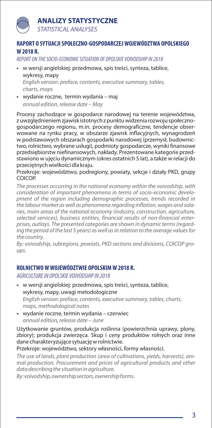## **ANALIZY STATYSTYCZNE**



*STATISTICAL ANALYSES*

## **RAPORT O SYTUACJI SPO£ECZNO-GOSPODARCZEJ WOJEWÓDZTWA OPOLSKIEGO W 2018 R.**

*REPORT ON THE SOCIO-ECONOMIC SITUATION OF OPOLSKIE VOIVODSHIP IN 2018*

- w wersji angielskiej: przedmowa, spis treści, synteza, tablice, wykresy, mapy **•** *English version: preface, contents, executive summary, tables, charts, maps*
- wydanie roczne, termin wydania maj **•** *annual edition, release date* – *May*

Procesy zachodzące w gospodarce narodowej na terenie województwa, z uwzględnieniem zjawisk istotnych z punktu widzenia rozwoju społecznogospodarczego regionu, m.in. procesy demograficzne, tendencje obserwowane na rynku pracy, w obszarze zjawisk inflacyjnych, wynagrodzeñ w podstawowych obszarach gospodarki narodowej (przemysł, budownictwo, rolnictwo, wybrane usługi), podmioty gospodarcze, wyniki finansowe przedsiębiorstw niefinansowych, nakłady. Prezentowane kategorie przedstawiono w ujęciu dynamicznym (okres ostatnich 5 lat), a także w relacji do przeciętnych wielkości dla kraju.

Przekroje: województwo, podregiony, powiaty, sekcje i działy PKD, grupy COICOP.

*The processes occurring in the national economy within the voivodship, with consideration of important phenomena in terms of socio-economic development of the region including demographic processes, trends recorded in the labour market as well as phenomena regarding inflation, wages and salaries, main areas of the national economy (industry, construction, agriculture, selected services), business entities, financial results of non-financial enterprises, outlays. The presented categories are shown in dynamic terms (regarding the period of the last 5 years) as well as in relation to the average values for the country.*

*By: voivodship, subregions, powiats, PKD sections and divisions, COICOP groups.*

#### **ROLNICTWO W WOJEWÓDZTWIE OPOLSKIM W 2018 R.**

*AGRICULTURE IN OPOLSKIE VOIVODSHIP IN 2018*

- **•** w wersji angielskiej: przedmowa, spis treści, synteza, tablice, wykresy, mapy, uwagi metodologiczne *English version: preface, contents, executive summary, tables, charts, maps, methodological notes*
- **•** wydanie roczne, termin wydania – czerwiec *, annual edition release date – June*

Użytkowanie gruntów, produkcja roślinna (powierzchnia uprawy, plony, zbiory); produkcja zwierzęca. Skup i ceny produktów rolnych oraz inne dane charakteryzujące sytuację w rolnictwie.

Przekroje: województwo, sektory własności, formy własności.

*The use of lands, plant production (area of cultivations, yields, harvests), animal production. Procurement and prices of agricultural products and other data describing the situation in agriculture.* 

*By: voivodship, ownership sectors, ownership forms.*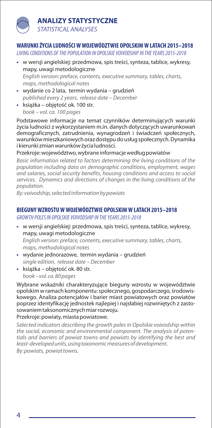## **ANALIZY STATYSTYCZNE** *STATISTICAL ANALYSES*

## **WARUNKI ¯YCIA LUDNOŒCI W WOJEWÓDZTWIE OPOLSKIM W LATACH 2015–2018**

*LIVING CONDITIONS OF THE POPULATION IN OPOLSKIE VOIVODSHIP IN THE YEARS 2015-2018*

- w wersji angielskiej: przedmowa, spis treści, synteza, tablice, wykresy, mapy, uwagi metodologiczne *English version: preface, contents, executive summary, tables, charts, maps, methodological notes*
- **•** wydanie co 2 lata, termin wydania – grudzieñ *published every 2 years, release date – December*
- książka objętość ok. 100 str. *book – vol. ca. 100 pages*

Podstawowe informacje na temat czynników determinujących warunki życia ludności z wykorzystaniem m.in. danych dotyczacych uwarunkowań demograficznych, zatrudnienia, wynagrodzeń i świadczeń społecznych, warunków mieszkaniowych oraz dostępu do usług społecznych. Dynamika i kierunki zmian warunków życia ludności.

Przekroje: województwo, wybrane informacje według powiatów

*Basic information related to factors determining the living conditions of the population including data on demographic conditions, employment, wages and salaries, social security benefits, housing conditions and access to social services. Dynamics and directions of changes in the living conditions of the population.*

*By: voivodship, selected information by powiats*

#### **BIEGUNY WZROSTU W WOJEWÓDZTWIE OPOLSKIM W LATACH 2015–2018**

*GROWTH POLES IN OPOLSKIE VOIVODSHIP IN THE YEARS 2015-2018*

- w wersji angielskiej: przedmowa, spis treści, synteza, tablice, wykresy, mapy, uwagi metodologiczne *English version: preface, contents, executive summary, tables, charts, maps, methodological notes*
- **•** wydanie jednorazowe, termin wydania grudzieñ *single edition, release date – December*
- **•** książka – objętość ok. 80 str. *book – vol. ca. 80 pages*

Wybrane wskaźniki charakteryzujące bieguny wzrostu w województwie opolskim w ramach komponentu: społecznego, gospodarczego, środowiskowego. Analiza potencjałów i barier miast powiatowych oraz powiatów poprzez identyfikację jednostek najlepiej i najsłabiej rozwiniętych z zastosowaniem taksonomicznych miar rozwoju.

#### Przekroje: powiaty, miasta powiatowe.

*Selected indicators describing the growth poles in Opolskie voivodship within the social, economic and environmental component. The analysis of potentials and barriers of powiat towns and powiats by identifying the best and least-developed units, using taxonomic measures of development. By: powiats, powiattowns.*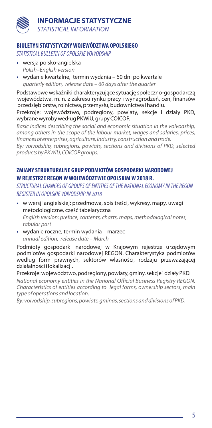## **INFORMACJE STATYSTYCZNE** *STATISTICAL INFORMATION*

#### **BIULETYN STATYSTYCZNY WOJEWÓDZTWA OPOLSKIEGO**

*STATISTICAL BULLETIN OF OPOLSKIE VOIVODSHIP*

- **•** wersja polsko-angielska *Polish–English version*
- **•** wydanie kwartalne, termin wydania 60 dni po kwartale *quarterly edition, release date – 60 days after the quarter*

Podstawowe wskaźniki charakteryzujące sytuację społeczno-gospodarczą województwa, m.in. z zakresu rynku pracy i wynagrodzeñ, cen, finansów przedsiębiorstw, rolnictwa, przemysłu, budownictwa i handlu.

Przekroje: województwo, podregiony, powiaty, sekcje i działy PKD, wybrane wyroby według PKWiU, grupy COICOP.

*Basic indices describing the social and economic situation in the voivodship, among others in the scope of the labour market, wages and salaries, prices, finances of enterprises, agriculture, industry, construction and trade.*

By: voivodship, subregions, powiats, sections and divisions of PKD, selected *groups products by PKWiU, COICOP .*

#### **ZMIANY STRUKTURALNE GRUP PODMIOTÓW GOSPODARKI NARODOWEJ W REJESTRZE REGON W WOJEWÓDZTWIE OPOLSKIM W 2018 R.**

*STRUCTURAL CHANGES OF GROUPS OF ENTITIES OF THE NATIONAL ECONOMY IN THE REGON REGISTER IN OPOLSKIE VOIVODSHIP IN 2018*

- w wersji angielskiej: przedmowa, spis treści, wykresy, mapy, uwagi metodologiczne, część tabelaryczna *English version: preface, contents, charts, maps, methodological notes, tabular part*
- **•** wydanie roczne, termin wydania marzec *annual edition, release date – March*

Podmioty gospodarki narodowej w Krajowym rejestrze urzędowym podmiotów gospodarki narodowej REGON. Charakterystyka podmiotów według form prawnych, sektorów własności, rodzaju przeważającej działalności i lokalizacji.

Przekroje: województwo, podregiony, powiaty, gminy, sekcje i działy PKD.

*National economy entities in the National Official Business Registry REGON. Characteristics of entities according to legal forms, ownership sectors, main type of operations and location.*

*By: voivodship, subregions, powiats, gminas, sections and divisions of PKD.*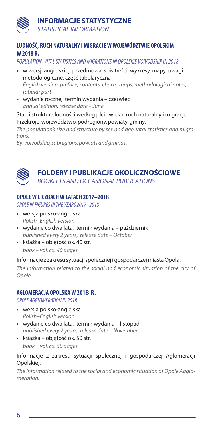## **INFORMACJE STATYSTYCZNE**



*STATISTICAL INFORMATION*

#### **LUDNOŒÆ, RUCH NATURALNY I MIGRACJE W WOJEWÓDZTWIE OPOLSKIM W 2018 R.**

*POPULATION, VITAL STATISTICS AND MIGRATIONS IN OPOLSKIE VOIVODSHIP IN 2018*

- w wersji angielskiej: przedmowa, spis treści, wykresy, mapy, uwagi metodologiczne, część tabelaryczna *English version: preface, contents, charts, maps, methodological notes, tabular part*
- **•** wydanie roczne, termin wydania czerwiec *, annual edition release date – June*

Stan i struktura ludności według płci i wieku, ruch naturalny i migracje. Przekroje: województwo, podregiony, powiaty, gminy.

*The population's size and structure by sex and age, vital statistics and migrations.* 

*By: voivodship, subregions, powiats and gminas.*



#### **FOLDERY I PUBLIKACJE OKOLICZNOŚCIOWE** *BOOKLETS AND OCCASIONAL PUBLICATIONS*

#### **OPOLE W LICZBACH W LATACH 2017–2018**

*OPOLE IN FIGURES IN THE YEARS2017–2018*

- **•** wersja polsko-angielska *Polish–English version*
- wydanie co dwa lata, termin wydania październik *published every 2 years, release date – October*
- książka objętość ok. 40 str. *book* – *vol. ca. 40 pages*

#### Informacje z zakresu sytuacji społecznej i gospodarczej miasta Opola.

The information related to the social and economic situation of the city of *Opole .*

#### **AGLOMERACJA OPOLSKA W 2018 R.**

*OPOLE AGGLOMERATION IN 2018*

- **•** wersja polsko-angielska *Polish–English version*
- **•** wydanie co dwa lata, termin wydania listopad *published every 2 years, release date – November*
- książka objętość ok. 50 str. *book* – *vol. ca. 50 pages*

#### Informacje z zakresu sytuacji społecznej i gospodarczej Aglomeracji Opolskiej.

*The information related to the social and economic situation of Opole Agglomeration.*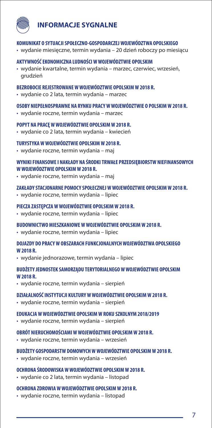

#### **KOMUNIKAT O SYTUACJI SPO£ECZNO-GOSPODARCZEJ WOJEWÓDZTWA OPOLSKIEGO**

• wydanie miesięczne, termin wydania – 20 dzień roboczy po miesiącu

#### **AKTYWNOŒÆ EKONOMICZNA LUDNOŒCI W WOJEWÓDZTWIE OPOLSKIM**

• wydanie kwartalne, termin wydania – marzec, czerwiec, wrzesieñ, grudzieñ

#### **BEZROBOCIE REJESTROWANE W WOJEWÓDZTWIE OPOLSKIM W 2018 R.**

• wydanie co 2 lata, termin wydania – marzec

#### **OSOBY NIEPE£NOSPRAWNE NA RYNKU PRACY W WOJEWÓDZTWIE O POLSKIM W 2018 R.**

• wydanie roczne, termin wydania – marzec

#### **POPYT NA PRACÊ W WOJEWÓDZTWIE OPOLSKIM W 2018 R.**

• wydanie co 2 lata, termin wydania – kwiecieñ

#### **TURYSTYKA W WOJEWÓDZTWIE OPOLSKIM W 2018 R.**

• wydanie roczne, termin wydania – maj

#### **WYNIKI FINANSOWE I NAK£ADY NA ŒRODKI TRWA£E PRZEDSIÊBIORSTW NIEFINANSOWYCH W WOJEWÓDZTWIE OPOLSKIM W 2018 R.**

• wydanie roczne, termin wydania – maj

#### **ZAK£ADY STACJONARNE POMOCY SPO£ECZNEJ W WOJEWÓDZTWIE OPOLSKIM W 2018 R.**

• wydanie roczne, termin wydania – lipiec

#### **PIECZA ZASTÊPCZA W WOJEWÓDZTWIE OPOLSKIM W 2018 R.**

• wydanie roczne, termin wydania – lipiec

#### **BUDOWNICTWO MIESZKANIOWE W WOJEWÓDZTWIE OPOLSKIM W 2018 R.**

• wydanie roczne, termin wydania – lipiec

#### **DOJAZDY DO PRACY W OBSZARACH FUNKCJONALNYCH WOJEWÓDZTWA OPOLSKIEGO W 2018 R.**

• wydanie jednorazowe, termin wydania – lipiec

#### BUDŻETY JEDNOSTEK SAMORZADU TERYTORIALNEGO W WOJEWÓDZTWIE OPOLSKIM **W 2018 R.**

• wydanie roczne, termin wydania – sierpieñ

#### **DZIA£ALNOŒÆ INSTYTUCJI KULTURY W WOJEWÓDZTWIE OPOLSKIM W 2018 R.**

• wydanie roczne, termin wydania – sierpieñ

#### **EDUKACJA W WOJEWÓDZTWIE OPOLSKIM W ROKU SZKOLNYM 2018/2019**

• wydanie roczne, termin wydania – sierpieñ

#### **OBRÓT NIERUCHOMOŒCIAMI W WOJEWÓDZTWIE OPOLSKIM W 2018 R.**

• wydanie roczne, termin wydania – wrzesieñ

#### **BUD¯ETY GOSPODARSTW DOMOWYCH W WOJEWÓDZTWIE OPOLSKIM W 2018 R.**

• wydanie roczne, termin wydania – wrzesieñ

#### **OCHRONA ŒRODOWISKA W WOJEWÓDZTWIE OPOLSKIM W 2018 R.**

• wydanie co 2 lata, termin wydania – listopad

#### **OCHRONA ZDROWIA W WOJEWÓDZTWIE OPOLSKIM W 2018 R.**

• wydanie roczne, termin wydania – listopad